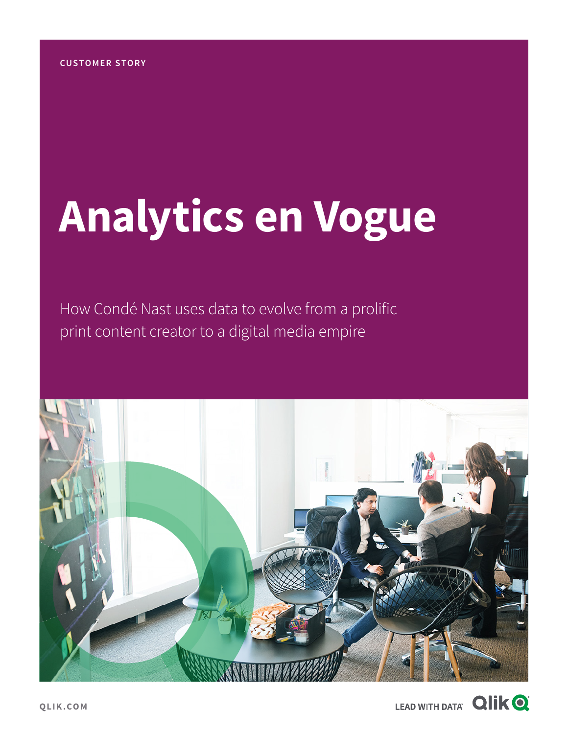# **Analytics en Vogue**

How Condé Nast uses data to evolve from a prolific print content creator to a digital media empire



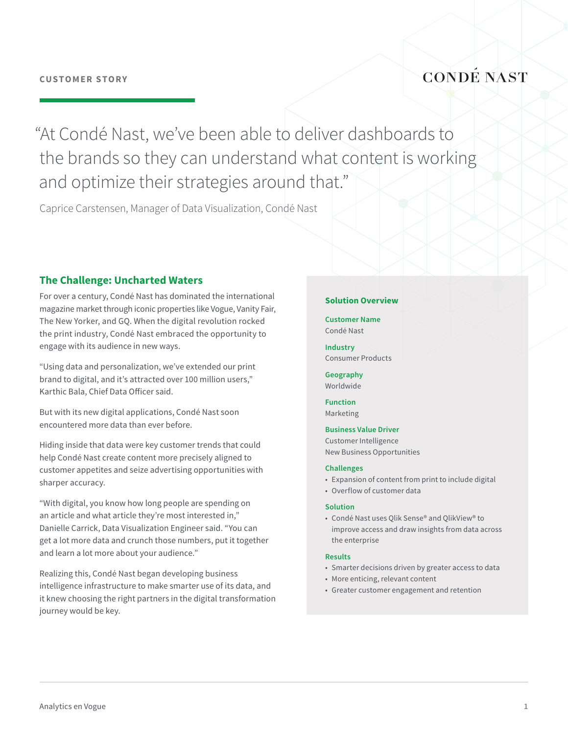### **CONDÉ NAST**

"At Condé Nast, we've been able to deliver dashboards to the brands so they can understand what content is working and optimize their strategies around that."

Caprice Carstensen, Manager of Data Visualization, Condé Nast

#### **The Challenge: Uncharted Waters**

For over a century, Condé Nast has dominated the international magazine market through iconic properties like Vogue, Vanity Fair, The New Yorker, and GQ. When the digital revolution rocked the print industry, Condé Nast embraced the opportunity to engage with its audience in new ways.

"Using data and personalization, we've extended our print brand to digital, and it's attracted over 100 million users," Karthic Bala, Chief Data Officer said.

But with its new digital applications, Condé Nast soon encountered more data than ever before.

Hiding inside that data were key customer trends that could help Condé Nast create content more precisely aligned to customer appetites and seize advertising opportunities with sharper accuracy.

"With digital, you know how long people are spending on an article and what article they're most interested in," Danielle Carrick, Data Visualization Engineer said. "You can get a lot more data and crunch those numbers, put it together and learn a lot more about your audience."

Realizing this, Condé Nast began developing business intelligence infrastructure to make smarter use of its data, and it knew choosing the right partners in the digital transformation journey would be key.

#### **Solution Overview**

**Customer Name** Condé Nast

**Industry** Consumer Products

**Geography** Worldwide

**Function** Marketing

#### **Business Value Driver**

Customer Intelligence New Business Opportunities

#### **Challenges**

- Expansion of content from print to include digital
- Overflow of customer data

#### **Solution**

• Condé Nast uses Qlik Sense® and QlikView® to improve access and draw insights from data across the enterprise

#### **Results**

- Smarter decisions driven by greater access to data
- More enticing, relevant content
- Greater customer engagement and retention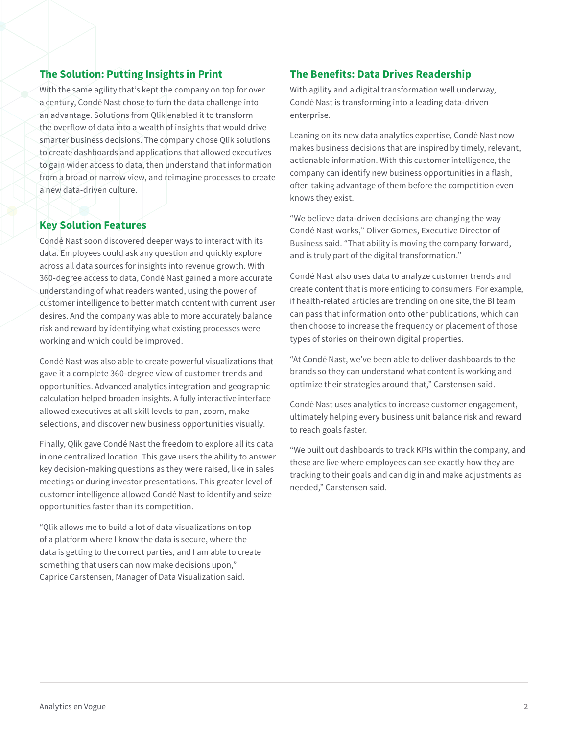#### **The Solution: Putting Insights in Print**

With the same agility that's kept the company on top for over a century, Condé Nast chose to turn the data challenge into an advantage. Solutions from Qlik enabled it to transform the overflow of data into a wealth of insights that would drive smarter business decisions. The company chose Qlik solutions to create dashboards and applications that allowed executives to gain wider access to data, then understand that information from a broad or narrow view, and reimagine processes to create a new data-driven culture.

#### **Key Solution Features**

Condé Nast soon discovered deeper ways to interact with its data. Employees could ask any question and quickly explore across all data sources for insights into revenue growth. With 360-degree access to data, Condé Nast gained a more accurate understanding of what readers wanted, using the power of customer intelligence to better match content with current user desires. And the company was able to more accurately balance risk and reward by identifying what existing processes were working and which could be improved.

Condé Nast was also able to create powerful visualizations that gave it a complete 360-degree view of customer trends and opportunities. Advanced analytics integration and geographic calculation helped broaden insights. A fully interactive interface allowed executives at all skill levels to pan, zoom, make selections, and discover new business opportunities visually.

Finally, Qlik gave Condé Nast the freedom to explore all its data in one centralized location. This gave users the ability to answer key decision-making questions as they were raised, like in sales meetings or during investor presentations. This greater level of customer intelligence allowed Condé Nast to identify and seize opportunities faster than its competition.

"Qlik allows me to build a lot of data visualizations on top of a platform where I know the data is secure, where the data is getting to the correct parties, and I am able to create something that users can now make decisions upon," Caprice Carstensen, Manager of Data Visualization said.

#### **The Benefits: Data Drives Readership**

With agility and a digital transformation well underway, Condé Nast is transforming into a leading data-driven enterprise.

Leaning on its new data analytics expertise, Condé Nast now makes business decisions that are inspired by timely, relevant, actionable information. With this customer intelligence, the company can identify new business opportunities in a flash, often taking advantage of them before the competition even knows they exist.

"We believe data-driven decisions are changing the way Condé Nast works," Oliver Gomes, Executive Director of Business said. "That ability is moving the company forward, and is truly part of the digital transformation."

Condé Nast also uses data to analyze customer trends and create content that is more enticing to consumers. For example, if health-related articles are trending on one site, the BI team can pass that information onto other publications, which can then choose to increase the frequency or placement of those types of stories on their own digital properties.

"At Condé Nast, we've been able to deliver dashboards to the brands so they can understand what content is working and optimize their strategies around that," Carstensen said.

Condé Nast uses analytics to increase customer engagement, ultimately helping every business unit balance risk and reward to reach goals faster.

"We built out dashboards to track KPIs within the company, and these are live where employees can see exactly how they are tracking to their goals and can dig in and make adjustments as needed," Carstensen said.